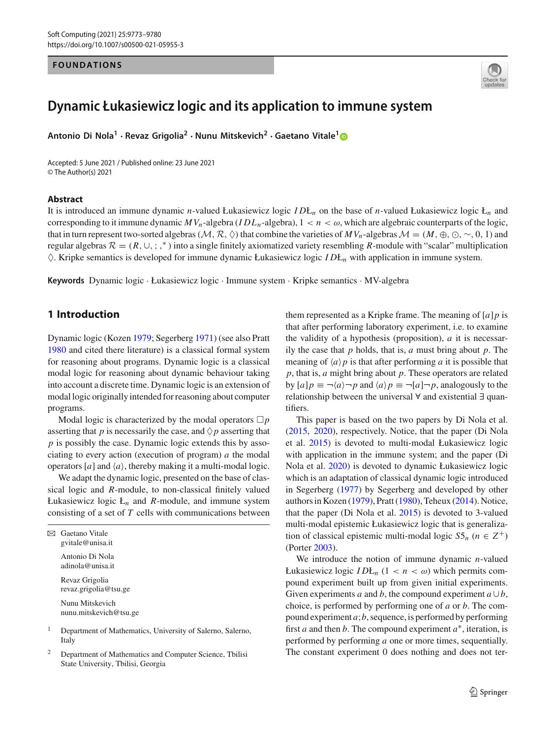# **FOUNDATIONS**



## **Dynamic Łukasiewicz logic and its application to immune system**

**Antonio Di Nola<sup>1</sup> · Revaz Grigolia<sup>2</sup> · Nunu Mitskevich<sup>2</sup> · Gaetano Vitale[1](http://orcid.org/0000-0001-5744-2334)**

Accepted: 5 June 2021 / Published online: 23 June 2021 © The Author(s) 2021

#### **Abstract**

It is introduced an immune dynamic *n*-valued Łukasiewicz logic *I D*Ł*<sup>n</sup>* on the base of *n*-valued Łukasiewicz logic Ł*<sup>n</sup>* and corresponding to it immune dynamic  $MV_n$ -algebra  $(ID_n$ -algebra),  $1 < n < \omega$ , which are algebraic counterparts of the logic, that in turn represent two-sorted algebras ( $M, R, \Diamond$ ) that combine the varieties of  $MV_n$ -algebras  $M = (M, \oplus, \odot, \sim, 0, 1)$  and regular algebras  $R = (R, \cup, ; ,^*)$  into a single finitely axiomatized variety resembling R-module with "scalar" multiplication  $\Diamond$ . Kripke semantics is developed for immune dynamic Łukasiewicz logic *I D*Ł<sub>n</sub> with application in immune system.

**Keywords** Dynamic logic · Łukasiewicz logic · Immune system · Kripke semantics · MV-algebra

## **1 Introduction**

Dynamic logic (Koze[n](#page-7-0) [1979](#page-7-0); Segerber[g](#page-7-1) [1971\)](#page-7-1) (see also Prat[t](#page-7-2) [1980](#page-7-2) and cited there literature) is a classical formal system for reasoning about programs. Dynamic logic is a classical modal logic for reasoning about dynamic behaviour taking into account a discrete time. Dynamic logic is an extension of modal logic originally intended for reasoning about computer programs.

Modal logic is characterized by the modal operators  $\Box p$ asserting that  $p$  is necessarily the case, and  $\Diamond p$  asserting that *p* is possibly the case. Dynamic logic extends this by associating to every action (execution of program) *a* the modal operators  $[a]$  and  $\langle a \rangle$ , thereby making it a multi-modal logic.

We adapt the dynamic logic, presented on the base of classical logic and *R*-module, to non-classical finitely valued Łukasiewicz logic  $L_n$  and  $R$ -module, and immune system consisting of a set of *T* cells with communications between

 $\boxtimes$  Gaetano Vitale gvitale@unisa.it Antonio Di Nola adinola@unisa.it Revaz Grigolia revaz.grigolia@tsu.ge Nunu Mitskevich

nunu.mitskevich@tsu.ge

<sup>1</sup> Department of Mathematics, University of Salerno, Salerno, Italy

<sup>2</sup> Department of Mathematics and Computer Science, Tbilisi State University, Tbilisi, Georgia

them represented as a Kripke frame. The meaning of [*a*]*p* is that after performing laboratory experiment, i.e. to examine the validity of a hypothesis (proposition), *a* it is necessarily the case that *p* holds, that is, *a* must bring about *p*. The meaning of  $\langle a \rangle p$  is that after performing *a* it is possible that *p*, that is, *a* might bring about *p*. These operators are related by  $[a]p \equiv \neg \langle a \rangle \neg p$  and  $\langle a \rangle p \equiv \neg [a] \neg p$ , analogously to the relationship between the universal ∀ and existential ∃ quantifiers.

This paper is based on the two papers by Di Nola et al[.](#page-7-3) [\(2015](#page-7-3), [2020](#page-7-4)), respectively. Notice, that the paper (Di Nola et al[.](#page-7-3) [2015](#page-7-3)) is devoted to multi-modal Łukasiewicz logic with application in the immune system; and the paper (Di Nola et al[.](#page-7-4) [2020\)](#page-7-4) is devoted to dynamic Łukasiewicz logic which is an adaptation of classical dynamic logic introduced in Segerber[g](#page-7-5) [\(1977](#page-7-5)) by Segerberg and developed by other authors in Koze[n](#page-7-0) [\(1979](#page-7-0)), Prat[t](#page-7-2) [\(1980\)](#page-7-2), Teheu[x](#page-7-6) [\(2014\)](#page-7-6). Notice, that the paper (Di Nola et al[.](#page-7-3) [2015\)](#page-7-3) is devoted to 3-valued multi-modal epistemic Łukasiewicz logic that is generalization of classical epistemic multi-modal logic  $S5<sub>n</sub>$  ( $n \in \mathbb{Z}^+$ ) (Porte[r](#page-7-7) [2003](#page-7-7)).

We introduce the notion of immune dynamic *n*-valued Łukasiewicz logic *I D*Ł<sub>*n*</sub> (1 < *n* < ω) which permits compound experiment built up from given initial experiments. Given experiments *a* and *b*, the compound experiment  $a \cup b$ , choice, is performed by performing one of *a* or *b*. The compound experiment *a*;*b*, sequence, is performed by performing first *a* and then *b*. The compound experiment *a*∗, iteration, is performed by performing *a* one or more times, sequentially. The constant experiment 0 does nothing and does not ter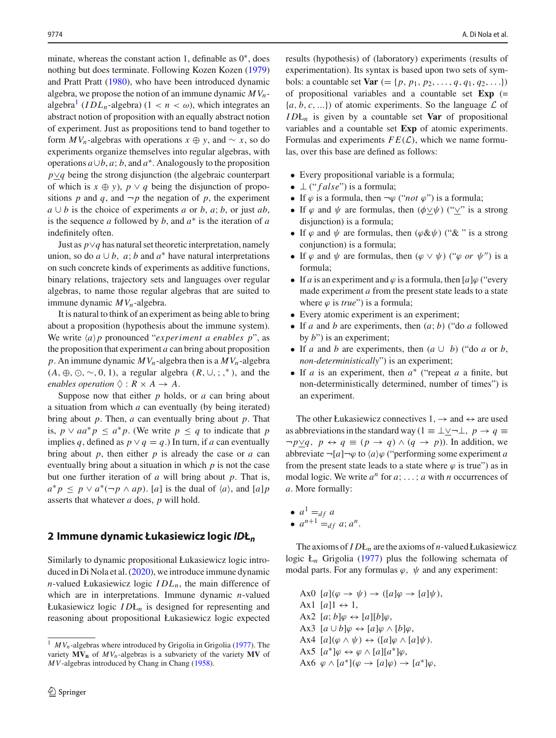minate, whereas the constant action 1, definable as 0∗, does nothing but does terminate. Following Kozen Koze[n](#page-7-0) [\(1979\)](#page-7-0) and Pratt Prat[t](#page-7-2) [\(1980\)](#page-7-2), who have been introduced dynamic algebra, we propose the notion of an immune dynamic  $MV_n$ algebra<sup>1</sup> (*IDL<sub>n</sub>*-algebra) ( $1 < n < \omega$ ), which integrates an abstract notion of proposition with an equally abstract notion of experiment. Just as propositions tend to band together to form  $MV_n$ -algebras with operations  $x \oplus y$ , and  $\sim x$ , so do experiments organize themselves into regular algebras, with operations  $a \cup b$ ,  $a$ ;  $b$ , and  $a^*$ . Analogously to the proposition *p*∨*q* being the strong disjunction (the algebraic counterpart of which is  $x \oplus y$ ,  $p \vee q$  being the disjunction of propositions *p* and *q*, and  $\neg p$  the negation of *p*, the experiment *a* ∪ *b* is the choice of experiments *a* or *b*, *a*; *b*, or just *ab*, is the sequence *a* followed by *b*, and *a*∗ is the iteration of *a* indefinitely often.

Just as *p*∨*q* has natural set theoretic interpretation, namely union, so do  $a \cup b$ ,  $a$ ;  $b$  and  $a^*$  have natural interpretations on such concrete kinds of experiments as additive functions, binary relations, trajectory sets and languages over regular algebras, to name those regular algebras that are suited to immune dynamic *MVn*-algebra.

It is natural to think of an experiment as being able to bring about a proposition (hypothesis about the immune system). We write  $\langle a \rangle p$  pronounced "*experiment a enables p*", as the proposition that experiment *a* can bring about proposition p. An immune dynamic  $MV_n$ -algebra then is a  $MV_n$ -algebra  $(A, \oplus, \odot, \sim, 0, 1)$ , a regular algebra  $(R, \cup, ;,^*)$ , and the *enables operation*  $\Diamond : R \times A \rightarrow A$ .

Suppose now that either *p* holds, or *a* can bring about a situation from which *a* can eventually (by being iterated) bring about *p*. Then, *a* can eventually bring about *p*. That is, *p* ∨ *aa*<sup>∗</sup> $p$  ≤ *a*<sup>∗</sup> $p$ . (We write  $p$  ≤ *q* to indicate that *p* implies *q*, defined as  $p \lor q = q$ .) In turn, if *a* can eventually bring about *p*, then either *p* is already the case or *a* can eventually bring about a situation in which *p* is not the case but one further iteration of *a* will bring about *p*. That is,  $a^* p \leq p \vee a^* (\neg p \wedge ap)$ . [*a*] is the dual of  $\langle a \rangle$ , and  $[a] p$ asserts that whatever *a* does, *p* will hold.

#### **2 Immune dynamic Łukasiewicz logic** *ID***Ł***<sup>n</sup>*

Similarly to dynamic propositional Łukasiewicz logic introduced in Di Nola et al[.](#page-7-4) [\(2020](#page-7-4)), we introduce immune dynamic *n*-valued Łukasiewicz logic  $IDL_n$ , the main difference of which are in interpretations. Immune dynamic *n*-valued Łukasiewicz logic *I D*Ł*<sup>n</sup>* is designed for representing and reasoning about propositional Łukasiewicz logic expected results (hypothesis) of (laboratory) experiments (results of experimentation). Its syntax is based upon two sets of symbols: a countable set  $Var$  (= {*p*, *p*<sub>1</sub>, *p*<sub>2</sub>, ..., *q*, *q*<sub>1</sub>, *q*<sub>2</sub>, ...}) of propositional variables and a countable set **Exp** (=  $\{a, b, c, \ldots\}$  of atomic experiments. So the language  $\mathcal L$  of *I D*Ł*<sup>n</sup>* is given by a countable set **Var** of propositional variables and a countable set **Exp** of atomic experiments. Formulas and experiments  $FE(\mathcal{L})$ , which we name formulas, over this base are defined as follows:

- Every propositional variable is a formula;
- ⊥ (" *f alse*") is a formula;
- If  $\varphi$  is a formula, then  $\neg \varphi$  ("*not*  $\varphi$ ") is a formula;
- If  $\varphi$  and  $\psi$  are formulas, then  $(\phi \vee \psi)$  (" $\vee$ " is a strong disjunction) is a formula;
- If  $\varphi$  and  $\psi$  are formulas, then  $(\varphi \& \psi)$  (" $\&$  " is a strong conjunction) is a formula;
- If  $\varphi$  and  $\psi$  are formulas, then  $(\varphi \lor \psi)$  (" $\varphi$  *or*  $\psi$ ") is a formula;
- If *a* is an experiment and  $\varphi$  is a formula, then [*a*] $\varphi$  ("every" made experiment *a* from the present state leads to a state where  $\varphi$  is *true*") is a formula;
- Every atomic experiment is an experiment;
- If *a* and *b* are experiments, then (*a*; *b*) ("do *a* followed by *b*") is an experiment;
- If *a* and *b* are experiments, then  $(a \cup b)$  ("do *a* or *b*, *non-deterministically*") is an experiment;
- If *a* is an experiment, then *a*<sup>∗</sup> ("repeat *a* a finite, but non-deterministically determined, number of times") is an experiment.

The other Łukasiewicz connectives  $1, \rightarrow$  and  $\leftrightarrow$  are used as abbreviations in the standard way (1  $\equiv \perp \vee \neg \perp$ , *p*  $\rightarrow$  *q*  $\equiv$  $\neg p \vee q$ ,  $p \leftrightarrow q \equiv (p \rightarrow q) \wedge (q \rightarrow p)$ ). In addition, we abbreviate  $\neg[a]\neg\varphi$  to  $\langle a \rangle \varphi$  ("performing some experiment *a* from the present state leads to a state where  $\varphi$  is true") as in modal logic. We write  $a^n$  for  $a$ ; ...; *a* with *n* occurrences of *a*. More formally:

•  $a^1 = df$  *a* •  $a^{n+1} =_{df} a; a^n$ .

The axioms of *I D*Ł*<sup>n</sup>* are the axioms of *n*-valued Łukasiewicz logic  $L_n$  Grigoli[a](#page-7-8) [\(1977](#page-7-8)) plus the following schemata of modal parts. For any formulas  $\varphi$ ,  $\psi$  and any experiment:

Ax0  $[a](\varphi \to \psi) \to ([a]\varphi \to [a]\psi),$ Ax1  $[a]$ 1  $\leftrightarrow$  1, Ax2  $[a; b] \varphi \leftrightarrow [a][b] \varphi$ , Ax3  $[a \cup b] \varphi \leftrightarrow [a] \varphi \wedge [b] \varphi$ , Ax4  $[a](\varphi \wedge \psi) \leftrightarrow ([a]\varphi \wedge [a]\psi)$ . Ax5  $[a^*]\varphi \leftrightarrow \varphi \wedge [a][a^*]\varphi$ , Ax6  $\varphi \wedge [a^*](\varphi \rightarrow [a]\varphi) \rightarrow [a^*]\varphi$ ,

<span id="page-1-0"></span><sup>&</sup>lt;sup>1</sup> *MV<sub>n</sub>*-[a](#page-7-8)lgebras where introduced by Grigolia in Grigolia [\(1977\)](#page-7-8). The variety  $MV_n$  of  $MV_n$ -algebras is a subvariety of the variety  $MV$  of *MV*-algebras introduced by Chang in Chan[g](#page-7-9) [\(1958](#page-7-9)).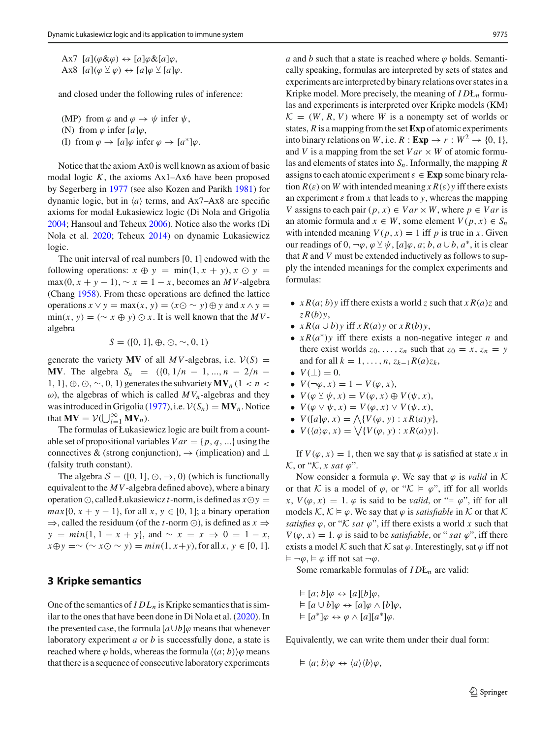Ax7  $[a](\varphi \& \varphi) \leftrightarrow [a] \varphi \& [a] \varphi$ , Ax8  $[a](\varphi \veeeq \varphi) \leftrightarrow [a]\varphi \veeeq [a]\varphi$ .

and closed under the following rules of inference:

(MP) from  $\varphi$  and  $\varphi \to \psi$  infer  $\psi$ ,

(N) from  $\varphi$  infer  $[a]\varphi$ ,

(I) from  $\varphi \to [a]\varphi$  infer  $\varphi \to [a^*]\varphi$ .

Notice that the axiom Ax0 is well known as axiom of basic modal logic  $K$ , the axioms  $Ax1-Ax6$  have been proposed by Segerberg in [1977](#page-7-5) (see also Kozen and Parik[h](#page-7-10) [1981](#page-7-10)) for dynamic logic, but in  $\langle a \rangle$  terms, and Ax7–Ax8 are specific axioms for modal Łukasiewicz logic (Di Nola and Grigoli[a](#page-7-11) [2004;](#page-7-11) Hansoul and Teheu[x](#page-7-12) [2006\)](#page-7-12). Notice also the works (Di Nola et al[.](#page-7-4) [2020](#page-7-4); Teheu[x](#page-7-6) [2014](#page-7-6)) on dynamic Łukasiewicz logic.

The unit interval of real numbers [0, 1] endowed with the following operations:  $x \oplus y = \min(1, x + y), x \odot y =$  $max(0, x + y - 1), \sim x = 1 - x$ , becomes an *MV*-algebra (Chan[g](#page-7-9) [1958\)](#page-7-9). From these operations are defined the lattice operations  $x \lor y = \max(x, y) = (x \odot \sim y) \oplus y$  and  $x \land y =$  $min(x, y) = (\sim x \oplus y) \odot x$ . It is well known that the *MV*algebra

$$
S = ([0, 1], \oplus, \odot, \sim, 0, 1)
$$

generate the variety **MV** of all *MV*-algebras, i.e.  $V(S)$  = **MV**. The algebra  $S_n = (\{0, 1/n - 1, ..., n - 2/n - 1\})$ 1, 1}, ⊕, ⊙, ∼, 0, 1) generates the subvariety  $MV_n$  (1 < *n* < ω), the algebras of which is called  $MV_n$ -algebras and they w[a](#page-7-8)s introduced in Grigolia [\(1977\)](#page-7-8), i.e.  $V(S_n) = MV_n$ . Notice that  $\mathbf{MV} = \mathcal{V}(\bigcup_{i=1}^{\infty} \mathbf{MV}_n).$ 

The formulas of Łukasiewicz logic are built from a countable set of propositional variables  $Var = \{p, q, ...\}$  using the connectives & (strong conjunction),  $\rightarrow$  (implication) and ⊥ (falsity truth constant).

The algebra  $S = ([0, 1], \odot, \Rightarrow, 0)$  (which is functionally equivalent to the *MV*-algebra defined above), where a binary operation  $\odot$ , called Łukasiewicz *t*-norm, is defined as  $x \odot y =$  $max{0, x + y - 1}$ , for all  $x, y \in [0, 1]$ ; a binary operation  $\Rightarrow$ , called the residuum (of the *t*-norm  $\odot$ ), is defined as  $x \Rightarrow$  $y = min\{1, 1 - x + y\}$ , and  $\sim x = x \implies 0 = 1 - x$ , *x*⊕*y* =∼ (∼ *x*⊙ ∼ *y*) =  $min(1, x+y)$ , for all *x*, *y* ∈ [0, 1].

## **3 Kripke semantics**

One of the semantics of  $IDL<sub>n</sub>$  is Kripke semantics that is similar to the ones that have been done in Di Nola et al[.](#page-7-4) [\(2020](#page-7-4)). In the presented case, the formula  $[a \cup b]\varphi$  means that whenever laboratory experiment *a* or *b* is successfully done, a state is reached where  $\varphi$  holds, whereas the formula  $\langle (a; b) \rangle \varphi$  means that there is a sequence of consecutive laboratory experiments *a* and *b* such that a state is reached where  $\varphi$  holds. Semantically speaking, formulas are interpreted by sets of states and experiments are interpreted by binary relations over states in a Kripke model. More precisely, the meaning of *I D*Ł*<sup>n</sup>* formulas and experiments is interpreted over Kripke models (KM)  $K = (W, R, V)$  where *W* is a nonempty set of worlds or states, *R* is a mapping from the set **Exp** of atomic experiments into binary relations on *W*, i.e.  $R : \mathbf{Exp} \to r : W^2 \to \{0, 1\}$ , and *V* is a mapping from the set  $Var \times W$  of atomic formulas and elements of states into *Sn*. Informally, the mapping *R* assigns to each atomic experiment  $\varepsilon \in \mathbf{Exp}$  some binary relation  $R(\varepsilon)$  on *W* with intended meaning  $x R(\varepsilon) y$  iff there exists an experiment  $\varepsilon$  from  $x$  that leads to  $y$ , whereas the mapping *V* assigns to each pair  $(p, x) \in Var \times W$ , where  $p \in Var$  is an atomic formula and  $x \in W$ , some element  $V(p, x) \in S_n$ with intended meaning  $V(p, x) = 1$  iff *p* is true in *x*. Given our readings of 0,  $\neg \varphi$ ,  $\varphi \vee \psi$ ,  $[a] \varphi$ , *a*; *b*, *a* ∪ *b*, *a*<sup>\*</sup>, it is clear that *R* and *V* must be extended inductively as follows to supply the intended meanings for the complex experiments and formulas:

- $x R(a; b) y$  iff there exists a world *z* such that  $x R(a) z$  and *z R*(*b*)*y*,
- $\bullet$  *xR*(*a* ∪ *b*)*y* iff *xR*(*a*)*y* or *xR*(*b*)*y*,
- *x R*(*a*∗)*y* iff there exists a non-negative integer *n* and there exist worlds  $z_0$ , ...,  $z_n$  such that  $z_0 = x$ ,  $z_n = y$ and for all  $k = 1, ..., n, z_{k-1}R(a)z_k$ ,
- $V(\perp) = 0$ .
- $V(\neg \varphi, x) = 1 V(\varphi, x),$
- $V(\varphi \veeeq \psi, x) = V(\varphi, x) \oplus V(\psi, x),$
- $V(\varphi \lor \psi, x) = V(\varphi, x) \lor V(\psi, x),$
- $V([a]\varphi, x) = \bigwedge \{V(\varphi, y) : xR(a)y\},\$
- $V(\langle a \rangle \varphi, x) = \sqrt{\{V(\varphi, y) : xR(a)y\}}$ .

If  $V(\varphi, x) = 1$ , then we say that  $\varphi$  is satisfied at state x in  $K$ , or " $K$ , *x sat*  $\varphi$ ".

Now consider a formula  $\varphi$ . We say that  $\varphi$  is *valid* in  $K$ or that *K* is a model of  $\varphi$ , or " $K \models \varphi$ ", iff for all worlds *x*,  $V(\varphi, x) = 1$ .  $\varphi$  is said to be *valid*, or " $\models \varphi$ ", iff for all models  $K, K \models \varphi$ . We say that  $\varphi$  is *satisfiable* in  $K$  or that  $K$ *satisfies*  $\varphi$ , or "*K sat*  $\varphi$ ", iff there exists a world *x* such that  $V(\varphi, x) = 1$ .  $\varphi$  is said to be *satisfiable*, or "*sat*  $\varphi$ ", iff there exists a model  $K$  such that  $K$  sat  $\varphi$ . Interestingly, sat  $\varphi$  iff not  $\models \neg \varphi, \models \varphi$  iff not sat  $\neg \varphi$ .

Some remarkable formulas of *I D*Ł*<sup>n</sup>* are valid:

$$
\vDash [a; b] \varphi \leftrightarrow [a][b] \varphi,
$$
  
\n
$$
\vDash [a \cup b] \varphi \leftrightarrow [a] \varphi \land [b] \varphi,
$$
  
\n
$$
\vDash [a^*] \varphi \leftrightarrow \varphi \land [a][a^*] \varphi.
$$

Equivalently, we can write them under their dual form:

$$
\vDash \langle a;b\rangle \varphi \leftrightarrow \langle a\rangle \langle b\rangle \varphi,
$$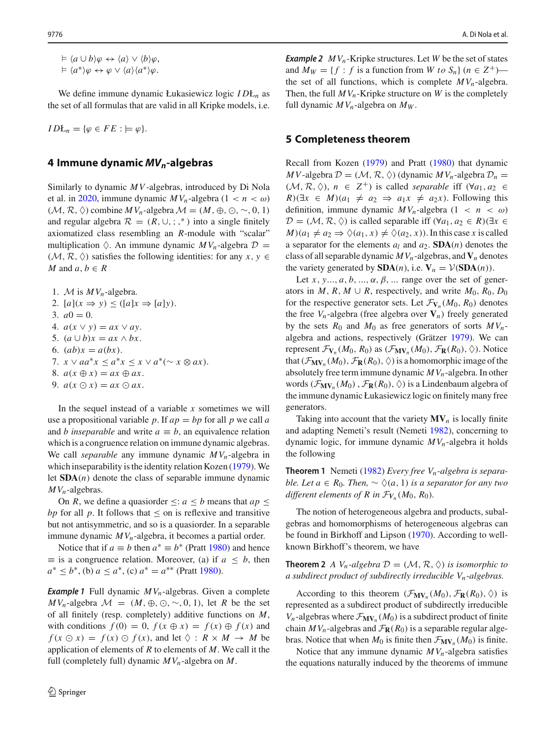$\doteq$   $\langle a \cup b \rangle \varphi \leftrightarrow \langle a \rangle \vee \langle b \rangle \varphi$ ,  $\models \langle a^* \rangle \varphi \leftrightarrow \varphi \vee \langle a \rangle \langle a^* \rangle \varphi.$ 

We define immune dynamic Łukasiewicz logic *I D*Ł*<sup>n</sup>* as the set of all formulas that are valid in all Kripke models, i.e.

$$
IDL_n = \{\varphi \in FE : \models \varphi\}.
$$

#### **4 Immune dynamic** *MVn***-algebras**

Similarly to dynamic *MV*-algebras, introduced by Di Nola et al. in [2020,](#page-7-4) immune dynamic  $MV_n$ -algebra  $(1 < n < \omega)$  $(M, R, \Diamond)$  combine  $MV_n$ -algebra  $\mathcal{M} = (M, \oplus, \odot, \sim, 0, 1)$ and regular algebra  $\mathcal{R} = (R, \cup, ; ,^*)$  into a single finitely axiomatized class resembling an *R*-module with "scalar" multiplication  $\Diamond$ . An immune dynamic  $MV_n$ -algebra  $\mathcal{D} =$  $(\mathcal{M}, \mathcal{R}, \Diamond)$  satisfies the following identities: for any *x*, *y* ∈ *M* and  $a, b \in R$ 

1. *M* is  $MV_n$ -algebra. 2.  $[a](x \Rightarrow y) \leq ( [a]x \Rightarrow [a]y).$ 3.  $a0 = 0$ . 4.  $a(x \vee y) = ax \vee ay$ . 5.  $(a \cup b)x = ax \wedge bx$ . 6.  $(ab)x = a(bx)$ . 7.  $x \vee aa^*x \leq a^*x \leq x \vee a^*(\sim x \otimes ax)$ . 8.  $a(x \oplus x) = ax \oplus ax$ . 9.  $a(x \odot x) = ax \odot ax$ .

In the sequel instead of a variable *x* sometimes we will use a propositional variable p. If  $ap = bp$  for all p we call a and *b* inseparable and write  $a \equiv b$ , an equivalence relation which is a congruence relation on immune dynamic algebras. We call *separable* any immune dynamic *MVn*-algebra in which i[n](#page-7-0)separability is the identity relation Kozen [\(1979\)](#page-7-0). We let **SDA**(*n*) denote the class of separable immune dynamic *MVn*-algebras.

On *R*, we define a quasionder  $\leq$ : *a*  $\leq$  *b* means that *ap*  $\leq$ *bp* for all *p*. It follows that  $\leq$  on is reflexive and transitive but not antisymmetric, and so is a quasiorder. In a separable immune dynamic  $MV_n$ -algebra, it becomes a partial order.

No[t](#page-7-2)ice that if  $a \equiv b$  then  $a^* \equiv b^*$  (Pratt [1980](#page-7-2)) and hence  $\equiv$  is a congruence relation. Moreover, (a) if  $a \leq b$ , then  $a^* \leq b^*$ , (b)  $a \leq a^*$ , (c)  $a^* = a^{**}$  (Pra[t](#page-7-2)t [1980\)](#page-7-2).

**Example 1** Full dynamic  $MV_n$ -algebras. Given a complete  $MV_n$ -algebra  $\mathcal{M} = (M, \oplus, \odot, \sim, 0, 1)$ , let *R* be the set of all finitely (resp. completely) additive functions on *M*, with conditions  $f(0) = 0$ ,  $f(x \oplus x) = f(x) \oplus f(x)$  and  $f(x \odot x) = f(x) \odot f(x)$ , and let  $\Diamond : R \times M \rightarrow M$  be application of elements of *R* to elements of *M*. We call it the full (completely full) dynamic *MVn*-algebra on *M*.

**Example 2**  $MV_n$ -Kripke structures. Let *W* be the set of states and  $M_W = \{f : f$  is a function from W to  $S_n\}$  ( $n \in \mathbb{Z}^+$ ) the set of all functions, which is complete  $MV_n$ -algebra. Then, the full  $MV_n$ -Kripke structure on  $W$  is the completely full dynamic  $MV_n$ -algebra on  $M_W$ .

#### **5 Completeness theorem**

Recall from Koze[n](#page-7-0) [\(1979\)](#page-7-0) and Prat[t](#page-7-2) [\(1980\)](#page-7-2) that dynamic  $MV$ -algebra  $\mathcal{D} = (\mathcal{M}, \mathcal{R}, \Diamond)$  (dynamic  $MV_n$ -algebra  $\mathcal{D}_n =$ (*M*,  $\mathcal{R}, \Diamond$ ),  $n \in \mathbb{Z}^+$ ) is called *separable* iff (∀*a*<sub>1</sub>, *a*<sub>2</sub> ∈ *R*)( $\exists x \in M$ )( $a_1 \neq a_2 \Rightarrow a_1x \neq a_2x$ ). Following this definition, immune dynamic  $MV_n$ -algebra  $(1 \lt n \lt \omega)$ *D* = (*M*,  $\mathcal{R}, \Diamond$ ) is called separable iff ( $\forall a_1, a_2 \in \mathcal{R}$ )( $\exists x \in \Diamond$  $M(a_1 \neq a_2 \Rightarrow \Diamond(a_1, x) \neq \Diamond(a_2, x)$ . In this case *x* is called a separator for the elements  $a_l$  and  $a_2$ . **SDA**(*n*) denotes the class of all separable dynamic  $MV_n$ -algebras, and  $V_n$  denotes the variety generated by  $SDA(n)$ , i.e.  $V_n = V(SDA(n))$ .

Let  $x, y, ..., a, b, ..., \alpha, \beta, ...$  range over the set of generators in *M*, *R*, *M* ∪ *R*, respectively, and write  $M_0$ ,  $R_0$ ,  $D_0$ for the respective generator sets. Let  $\mathcal{F}_{V_n}(M_0, R_0)$  denotes the free  $V_n$ -algebra (free algebra over  $V_n$ ) freely generated by the sets  $R_0$  and  $M_0$  as free generators of sorts  $MV_n$ algebra and actions, respectively (Grätze[r](#page-7-13) [1979\)](#page-7-13). We can represent  $\mathcal{F}_{\mathbf{V}_n}(M_0, R_0)$  as  $(\mathcal{F}_{\mathbf{MV}_n}(M_0), \mathcal{F}_{\mathbf{R}}(R_0), \Diamond)$ . Notice that  $(\mathcal{F}_{\mathbf{MV}_n}(M_0), \mathcal{F}_{\mathbf{R}}(R_0), \Diamond)$  is a homomorphic image of the absolutely free term immune dynamic *MVn*-algebra. In other words  $(\mathcal{F}_{\mathbf{MV}_n}(M_0), \mathcal{F}_{\mathbf{R}}(R_0), \Diamond)$  is a Lindenbaum algebra of the immune dynamic Łukasiewicz logic on finitely many free generators.

Taking into account that the variety  $MV_n$  is locally finite and adapting Nemeti's result (Nemet[i](#page-7-14) [1982](#page-7-14)), concerning to dynamic logic, for immune dynamic *MVn*-algebra it holds the following

**Theorem 1** Nemet[i](#page-7-14) [\(1982\)](#page-7-14) *Every free Vn-algebra is separable. Let a*  $\in$  *R*<sub>0</sub>*. Then,*  $\sim \Diamond$  (*a,* 1) *is a separator for any two different elements of R in*  $\mathcal{F}_{V_n}(M_0, R_0)$ *.* 

The notion of heterogeneous algebra and products, subalgebras and homomorphisms of heterogeneous algebras can be found in Birkhoff and Lipso[n](#page-7-15) [\(1970\)](#page-7-15). According to wellknown Birkhoff's theorem, we have

**Theorem 2** *A*  $V_n$ -algebra  $\mathcal{D} = (\mathcal{M}, \mathcal{R}, \Diamond)$  *is isomorphic to a subdirect product of subdirectly irreducible Vn-algebras.*

According to this theorem  $(\mathcal{F}_{MV}_n(M_0), \mathcal{F}_R(R_0), \Diamond)$  is represented as a subdirect product of subdirectly irreducible  $V_n$ -algebras where  $\mathcal{F}_{MV_n}(M_0)$  is a subdirect product of finite chain  $MV_n$ -algebras and  $\mathcal{F}_{\mathbf{R}}(R_0)$  is a separable regular algebras. Notice that when  $M_0$  is finite then  $\mathcal{F}_{MV_n}(M_0)$  is finite.

Notice that any immune dynamic  $MV_n$ -algebra satisfies the equations naturally induced by the theorems of immune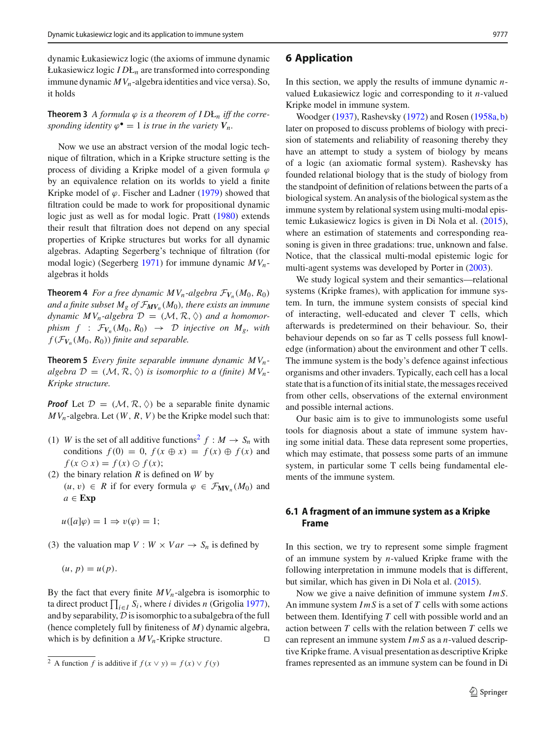dynamic Łukasiewicz logic (the axioms of immune dynamic Łukasiewicz logic *I D*Ł*<sup>n</sup>* are transformed into corresponding immune dynamic  $MV_n$ -algebra identities and vice versa). So, it holds

**Theorem 3** *A formula*  $\varphi$  *is a theorem of IDL<sub>n</sub> iff the corresponding identity*  $\varphi^{\bullet} = 1$  *is true in the variety*  $V_n$ .

Now we use an abstract version of the modal logic technique of filtration, which in a Kripke structure setting is the process of dividing a Kripke model of a given formula  $\varphi$ by an equivalence relation on its worlds to yield a finite K[r](#page-7-16)ipke model of  $\varphi$ . Fischer and Ladner [\(1979](#page-7-16)) showed that filtration could be made to work for propositional dynamic logic just as well as for modal logic. Prat[t](#page-7-2) [\(1980\)](#page-7-2) extends their result that filtration does not depend on any special properties of Kripke structures but works for all dynamic algebras. Adapting Segerberg's technique of filtration (for modal logic) (Segerber[g](#page-7-1) [1971](#page-7-1)) for immune dynamic *MVn*algebras it holds

**Theorem 4** *For a free dynamic MV<sub>n</sub>-algebra*  $\mathcal{F}_{V_n}(M_0, R_0)$ *and a finite subset*  $M_g$  *of*  $\mathcal{F}_{MV_n}(M_0)$ *, there exists an immune dynamic MV<sub>n</sub>-algebra*  $\mathcal{D} = (\mathcal{M}, \mathcal{R}, \Diamond)$  *and a homomorphism*  $f : \mathcal{F}_{V_n}(M_0, R_0) \rightarrow \mathcal{D}$  *injective on*  $M_g$ , *with*  $f(\mathcal{F}_{V_n}(M_0, R_0))$  *finite and separable.* 

**Theorem 5** *Every finite separable immune dynamic MVnalgebra*  $\mathcal{D} = (\mathcal{M}, \mathcal{R}, \Diamond)$  *is isomorphic to a (finite)*  $MV_n$ -*Kripke structure.*

*Proof* Let  $D = (M, R, \Diamond)$  be a separable finite dynamic *MVn*-algebra. Let (*W*, *R*, *V* ) be the Kripke model such that:

- (1) *W* is the set of all additive functions<sup>[2](#page-4-0)</sup>  $f : M \to S_n$  with conditions  $f(0) = 0$ ,  $f(x \oplus x) = f(x) \oplus f(x)$  and  $f(x \odot x) = f(x) \odot f(x);$
- (2) the binary relation *R* is defined on *W* by  $(u, v)$  ∈ *R* if for every formula  $\varphi$  ∈  $\mathcal{F}_{MV_n}(M_0)$  and  $a \in \mathbf{Exp}$ 
	- $u([a]\varphi) = 1 \Rightarrow v(\varphi) = 1;$
- (3) the valuation map  $V : W \times Var \rightarrow S_n$  is defined by

$$
(u, p) = u(p).
$$

By the fact that every finite  $MV_n$ -algebra is isomorphic to t[a](#page-7-8) direct product  $\prod_{i \in I} S_i$ , where *i* divides *n* (Grigolia [1977](#page-7-8)), and by separability,*D* is isomorphic to a subalgebra of the full (hence completely full by finiteness of *M*) dynamic algebra, which is by definition a  $MV_n$ -Kripke structure.  $\Box$ 

#### **6 Application**

In this section, we apply the results of immune dynamic *n*valued Łukasiewicz logic and corresponding to it *n*-valued Kripke model in immune system.

Woodge[r](#page-7-17) [\(1937](#page-7-17)), Rashevsk[y](#page-7-18) [\(1972](#page-7-18)) and Rose[n](#page-7-19) [\(1958a](#page-7-19), [b\)](#page-7-20) later on proposed to discuss problems of biology with precision of statements and reliability of reasoning thereby they have an attempt to study a system of biology by means of a logic (an axiomatic formal system). Rashevsky has founded relational biology that is the study of biology from the standpoint of definition of relations between the parts of a biological system. An analysis of the biological system as the immune system by relational system using multi-modal epistemic Łukasiewicz logics is given in Di Nola et al[.](#page-7-3) [\(2015](#page-7-3)), where an estimation of statements and corresponding reasoning is given in three gradations: true, unknown and false. Notice, that the classical multi-modal epistemic logic for multi-agent systems was developed by Porter in [\(2003](#page-7-7)).

We study logical system and their semantics—relational systems (Kripke frames), with application for immune system. In turn, the immune system consists of special kind of interacting, well-educated and clever T cells, which afterwards is predetermined on their behaviour. So, their behaviour depends on so far as T cells possess full knowledge (information) about the environment and other T cells. The immune system is the body's defence against infectious organisms and other invaders. Typically, each cell has a local state that is a function of its initial state, the messages received from other cells, observations of the external environment and possible internal actions.

Our basic aim is to give to immunologists some useful tools for diagnosis about a state of immune system having some initial data. These data represent some properties, which may estimate, that possess some parts of an immune system, in particular some T cells being fundamental elements of the immune system.

### **6.1 A fragment of an immune system as a Kripke Frame**

In this section, we try to represent some simple fragment of an immune system by *n*-valued Kripke frame with the following interpretation in immune models that is different, but similar, which has given in Di Nola et al[.](#page-7-3) [\(2015\)](#page-7-3).

Now we give a naive definition of immune system *ImS*. An immune system *ImS* is a set of *T* cells with some actions between them. Identifying *T* cell with possible world and an action between *T* cells with the relation between *T* cells we can represent an immune system *ImS* as a *n*-valued descriptive Kripke frame. A visual presentation as descriptive Kripke frames represented as an immune system can be found in Di

<span id="page-4-0"></span><sup>&</sup>lt;sup>2</sup> A function *f* is additive if  $f(x \vee y) = f(x) \vee f(y)$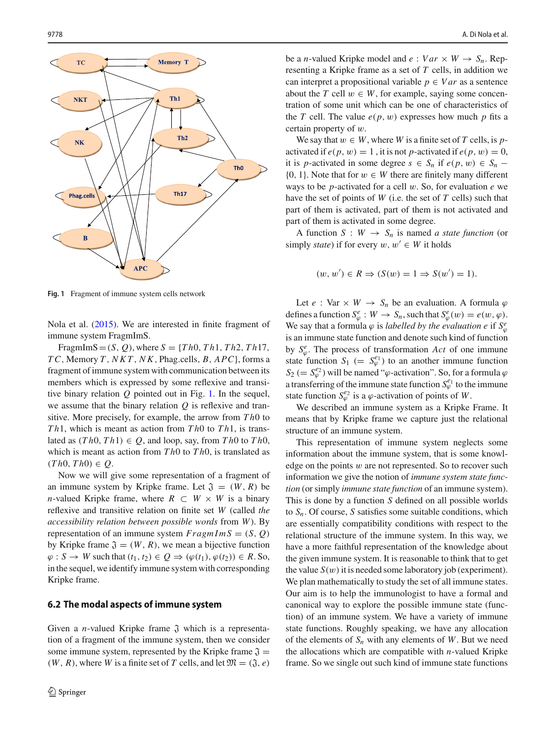

<span id="page-5-0"></span>**Fig. 1** Fragment of immune system cells network

Nola et al[.](#page-7-3) [\(2015](#page-7-3)). We are interested in finite fragment of immune system FragmImS.

FragmImS =  $(S, Q)$ , where  $S = \{Th0, Th1, Th2, Th17\}$ , *T C*, Memory *T* , *NKT* , *N K*, Phag.cells, *B*, *APC*}, forms a fragment of immune system with communication between its members which is expressed by some reflexive and transitive binary relation *Q* pointed out in Fig. [1.](#page-5-0) In the sequel, we assume that the binary relation *Q* is reflexive and transitive. More precisely, for example, the arrow from *T h*0 to *T h*1, which is meant as action from *T h*0 to *T h*1, is translated as  $(Th0, Th1) \in Q$ , and loop, say, from *Th*<sup>0</sup> to *Th*<sup>0</sup>, which is meant as action from *T h*0 to *T h*0, is translated as  $(Th0, Th0) \in Q$ .

Now we will give some representation of a fragment of an immune system by Kripke frame. Let  $\mathfrak{J} = (W, R)$  be *n*-valued Kripke frame, where  $R \subset W \times W$  is a binary reflexive and transitive relation on finite set *W* (called *the accessibility relation between possible words* from *W*). By representation of an immune system  $FragmImS = (S, Q)$ by Kripke frame  $\mathfrak{J} = (W, R)$ , we mean a bijective function  $\varphi$  : *S*  $\rightarrow$  *W* such that  $(t_1, t_2) \in Q \Rightarrow (\varphi(t_1), \varphi(t_2)) \in R$ . So, in the sequel, we identify immune system with corresponding Kripke frame.

#### **6.2 The modal aspects of immune system**

Given a *n*-valued Kripke frame  $\tilde{J}$  which is a representation of a fragment of the immune system, then we consider some immune system, represented by the Kripke frame  $\mathfrak{J} =$  $(W, R)$ , where *W* is a finite set of *T* cells, and let  $\mathfrak{M} = (\mathfrak{J}, e)$  be a *n*-valued Kripke model and  $e: Var \times W \rightarrow S_n$ . Representing a Kripke frame as a set of *T* cells, in addition we can interpret a propositional variable  $p \in Var$  as a sentence about the *T* cell  $w \in W$ , for example, saying some concentration of some unit which can be one of characteristics of the *T* cell. The value  $e(p, w)$  expresses how much *p* fits a certain property of w.

We say that  $w \in W$ , where *W* is a finite set of *T* cells, is *p*activated if  $e(p, w) = 1$ , it is not *p*-activated if  $e(p, w) = 0$ , it is *p*-activated in some degree *s* ∈ *S<sub>n</sub>* if *e*(*p*, *w*) ∈ *S<sub>n</sub>* −  ${0, 1}$ . Note that for  $w \in W$  there are finitely many different ways to be *p*-activated for a cell w. So, for evaluation *e* we have the set of points of *W* (i.e. the set of *T* cells) such that part of them is activated, part of them is not activated and part of them is activated in some degree.

A function  $S : W \to S_n$  is named *a state function* (or simply *state*) if for every  $w, w' \in W$  it holds

$$
(w, w') \in R \Rightarrow (S(w) = 1 \Rightarrow S(w') = 1).
$$

Let *e* : Var  $\times$  *W*  $\rightarrow$  *S<sub>n</sub>* be an evaluation. A formula  $\varphi$ defines a function  $S^e_\varphi : W \to S_n$ , such that  $S^e_\varphi(w) = e(w, \varphi)$ . We say that a formula  $\varphi$  is *labelled by the evaluation e* if  $S^e_\varphi$ is an immune state function and denote such kind of function by  $S^e_\varphi$ . The process of transformation *Act* of one immune state function  $S_1$  (=  $S_{\varphi}^{e_1}$ ) to an another immune function  $S_2$  (=  $S_{\varphi}^{e_2}$ ) will be named " $\varphi$ -activation". So, for a formula  $\varphi$ a transferring of the immune state function  $S^{\epsilon_1}_\varphi$  to the immune state function  $S_{\varphi}^{e_2}$  is a  $\varphi$ -activation of points of *W*.

We described an immune system as a Kripke Frame. It means that by Kripke frame we capture just the relational structure of an immune system.

This representation of immune system neglects some information about the immune system, that is some knowledge on the points  $w$  are not represented. So to recover such information we give the notion of *immune system state function* (or simply *immune state function* of an immune system). This is done by a function *S* defined on all possible worlds to  $S_n$ . Of course, *S* satisfies some suitable conditions, which are essentially compatibility conditions with respect to the relational structure of the immune system. In this way, we have a more faithful representation of the knowledge about the given immune system. It is reasonable to think that to get the value  $S(w)$  it is needed some laboratory job (experiment). We plan mathematically to study the set of all immune states. Our aim is to help the immunologist to have a formal and canonical way to explore the possible immune state (function) of an immune system. We have a variety of immune state functions. Roughly speaking, we have any allocation of the elements of  $S_n$  with any elements of *W*. But we need the allocations which are compatible with *n*-valued Kripke frame. So we single out such kind of immune state functions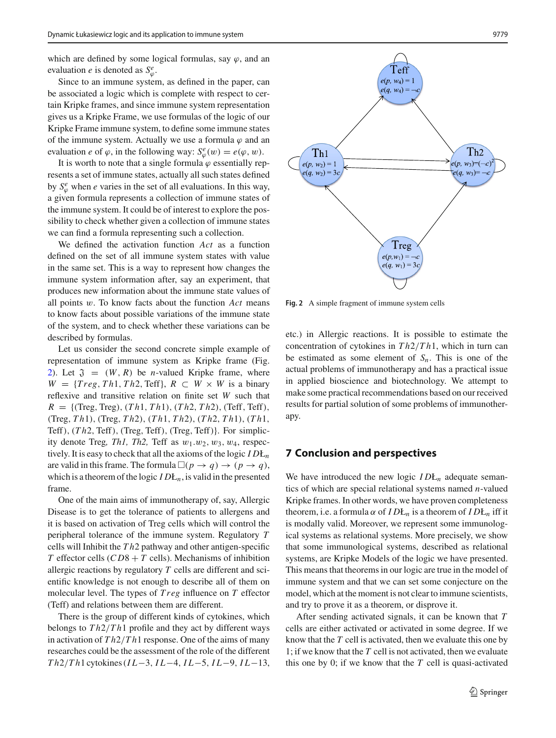which are defined by some logical formulas, say  $\varphi$ , and an evaluation *e* is denoted as  $S^e_\varphi$ .

Since to an immune system, as defined in the paper, can be associated a logic which is complete with respect to certain Kripke frames, and since immune system representation gives us a Kripke Frame, we use formulas of the logic of our Kripke Frame immune system, to define some immune states of the immune system. Actually we use a formula  $\varphi$  and an evaluation *e* of  $\varphi$ , in the following way:  $S^e_{\varphi}(w) = e(\varphi, w)$ .

It is worth to note that a single formula  $\varphi$  essentially represents a set of immune states, actually all such states defined by  $S^e_\varphi$  when *e* varies in the set of all evaluations. In this way, a given formula represents a collection of immune states of the immune system. It could be of interest to explore the possibility to check whether given a collection of immune states we can find a formula representing such a collection.

We defined the activation function *Act* as a function defined on the set of all immune system states with value in the same set. This is a way to represent how changes the immune system information after, say an experiment, that produces new information about the immune state values of all points w. To know facts about the function *Act* means to know facts about possible variations of the immune state of the system, and to check whether these variations can be described by formulas.

Let us consider the second concrete simple example of representation of immune system as Kripke frame (Fig. [2\)](#page-6-0). Let  $\mathfrak{J} = (W, R)$  be *n*-valued Kripke frame, where  $W = \{Treg, Th1, Th2, Teff\}, R \subset W \times W$  is a binary reflexive and transitive relation on finite set *W* such that  $R = \{$ (Treg, Treg), (*Th*1, *Th*1), (*Th*2, *Th*2), (Teff, Teff), (Treg, *T h*1), (Treg, *T h*2), (*T h*1, *T h*2), (*T h*2, *T h*1), (*T h*1, Teff), (*T h*2, Teff), (Treg, Teff), (Treg, Teff)}. For simplicity denote Treg, Th1, Th2, Teff as  $w_1 \nvert w_2, w_3, w_4$ , respectively. It is easy to check that all the axioms of the logic *I D*Ł*<sup>n</sup>* are valid in this frame. The formula  $\Box(p \rightarrow q) \rightarrow (p \rightarrow q)$ , which is a theorem of the logic *I D*Ł*n*, is valid in the presented frame.

One of the main aims of immunotherapy of, say, Allergic Disease is to get the tolerance of patients to allergens and it is based on activation of Treg cells which will control the peripheral tolerance of the immune system. Regulatory *T* cells will Inhibit the *T h*2 pathway and other antigen-specific *T* effector cells  $(CD8 + T)$  cells). Mechanisms of inhibition allergic reactions by regulatory *T* cells are different and scientific knowledge is not enough to describe all of them on molecular level. The types of *T reg* influence on *T* effector (Teff) and relations between them are different.

There is the group of different kinds of cytokines, which belongs to *T h*2/*T h*1 profile and they act by different ways in activation of *T h*2/*T h*1 response. One of the aims of many researches could be the assessment of the role of the different *T h*2/*T h*1 cytokines (*I L*−3, *I L*−4, *I L*−5, *I L*−9, *I L*−13,



<span id="page-6-0"></span>**Fig. 2** A simple fragment of immune system cells

etc.) in Allergic reactions. It is possible to estimate the concentration of cytokines in *T h*2/*T h*1, which in turn can be estimated as some element of  $S_n$ . This is one of the actual problems of immunotherapy and has a practical issue in applied bioscience and biotechnology. We attempt to make some practical recommendations based on our received results for partial solution of some problems of immunotherapy.

#### **7 Conclusion and perspectives**

We have introduced the new logic  $IDL<sub>n</sub>$  adequate semantics of which are special relational systems named *n*-valued Kripke frames. In other words, we have proven completeness theorem, i.e. a formula  $\alpha$  of  $IDE_n$  is a theorem of  $IDE_n$  iff it is modally valid. Moreover, we represent some immunological systems as relational systems. More precisely, we show that some immunological systems, described as relational systems, are Kripke Models of the logic we have presented. This means that theorems in our logic are true in the model of immune system and that we can set some conjecture on the model, which at the moment is not clear to immune scientists, and try to prove it as a theorem, or disprove it.

After sending activated signals, it can be known that *T* cells are either activated or activated in some degree. If we know that the *T* cell is activated, then we evaluate this one by 1; if we know that the *T* cell is not activated, then we evaluate this one by 0; if we know that the *T* cell is quasi-activated